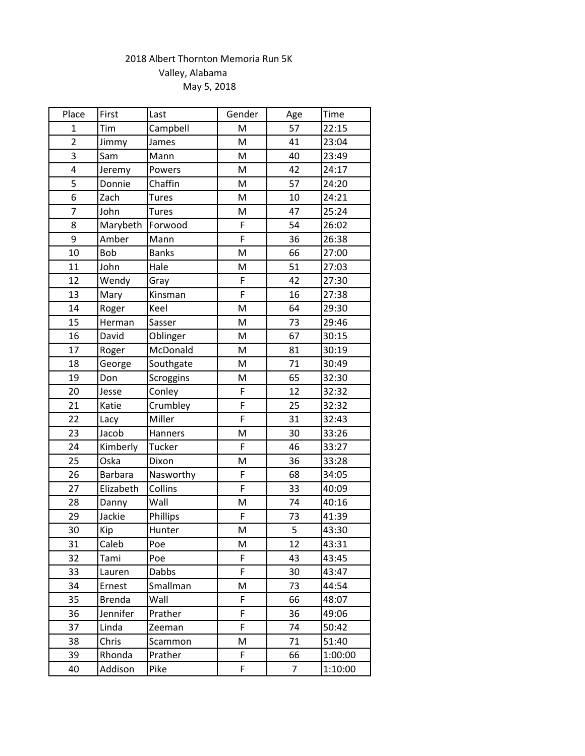## 2018 Albert Thornton Memoria Run 5K Valley, Alabama May 5, 2018

| Place          | First          | Last             | Gender | Age            | Time    |
|----------------|----------------|------------------|--------|----------------|---------|
| $\mathbf{1}$   | Tim            | Campbell         | M      | 57             | 22:15   |
| $\overline{2}$ | Jimmy          | James            | M      | 41             | 23:04   |
| 3              | Sam            | Mann             | M      | 40             | 23:49   |
| 4              | Jeremy         | Powers           | M      | 42             | 24:17   |
| 5              | Donnie         | Chaffin          | M      | 57             | 24:20   |
| 6              | Zach           | Tures            | M      | 10             | 24:21   |
| 7              | John           | <b>Tures</b>     | M      | 47             | 25:24   |
| 8              | Marybeth       | Forwood          | F      | 54             | 26:02   |
| 9              | Amber          | Mann             | F      | 36             | 26:38   |
| 10             | Bob            | <b>Banks</b>     | M      | 66             | 27:00   |
| 11             | John           | Hale             | M      | 51             | 27:03   |
| 12             | Wendy          | Gray             | F      | 42             | 27:30   |
| 13             | Mary           | Kinsman          | F      | 16             | 27:38   |
| 14             | Roger          | Keel             | M      | 64             | 29:30   |
| 15             | Herman         | Sasser           | M      | 73             | 29:46   |
| 16             | David          | Oblinger         | M      | 67             | 30:15   |
| 17             | Roger          | McDonald         | M      | 81             | 30:19   |
| 18             | George         | Southgate        | M      | 71             | 30:49   |
| 19             | Don            | <b>Scroggins</b> | M      | 65             | 32:30   |
| 20             | Jesse          | Conley           | F      | 12             | 32:32   |
| 21             | Katie          | Crumbley         | F      | 25             | 32:32   |
| 22             | Lacy           | Miller           | F      | 31             | 32:43   |
| 23             | Jacob          | Hanners          | M      | 30             | 33:26   |
| 24             | Kimberly       | Tucker           | F      | 46             | 33:27   |
| 25             | Oska           | Dixon            | M      | 36             | 33:28   |
| 26             | <b>Barbara</b> | Nasworthy        | F      | 68             | 34:05   |
| 27             | Elizabeth      | Collins          | F      | 33             | 40:09   |
| 28             | Danny          | Wall             | M      | 74             | 40:16   |
| 29             | Jackie         | Phillips         | F      | 73             | 41:39   |
| 30             | Kip            | Hunter           | M      | 5              | 43:30   |
| 31             | Caleb          | Poe              | M      | 12             | 43:31   |
| 32             | Tami           | Poe              | F      | 43             | 43:45   |
| 33             | Lauren         | <b>Dabbs</b>     | F      | 30             | 43:47   |
| 34             | Ernest         | Smallman         | Μ      | 73             | 44:54   |
| 35             | <b>Brenda</b>  | Wall             | F      | 66             | 48:07   |
| 36             | Jennifer       | Prather          | F      | 36             | 49:06   |
| 37             | Linda          | Zeeman           | F      | 74             | 50:42   |
| 38             | Chris          | Scammon          | M      | 71             | 51:40   |
| 39             | Rhonda         | Prather          | F.     | 66             | 1:00:00 |
| 40             | Addison        | Pike             | F      | $\overline{7}$ | 1:10:00 |